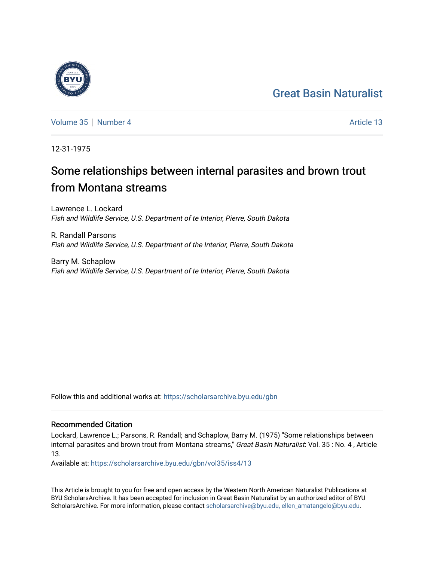## [Great Basin Naturalist](https://scholarsarchive.byu.edu/gbn)



[Volume 35](https://scholarsarchive.byu.edu/gbn/vol35) [Number 4](https://scholarsarchive.byu.edu/gbn/vol35/iss4) Article 13

12-31-1975

# Some relationships between internal parasites and brown trout from Montana streams

Lawrence L. Lockard Fish and Wildlife Service, U.S. Department of te Interior, Pierre, South Dakota

R. Randall Parsons Fish and Wildlife Service, U.S. Department of the Interior, Pierre, South Dakota

Barry M. Schaplow Fish and Wildlife Service, U.S. Department of te Interior, Pierre, South Dakota

Follow this and additional works at: [https://scholarsarchive.byu.edu/gbn](https://scholarsarchive.byu.edu/gbn?utm_source=scholarsarchive.byu.edu%2Fgbn%2Fvol35%2Fiss4%2F13&utm_medium=PDF&utm_campaign=PDFCoverPages) 

### Recommended Citation

Lockard, Lawrence L.; Parsons, R. Randall; and Schaplow, Barry M. (1975) "Some relationships between internal parasites and brown trout from Montana streams," Great Basin Naturalist: Vol. 35 : No. 4, Article 13.

Available at: [https://scholarsarchive.byu.edu/gbn/vol35/iss4/13](https://scholarsarchive.byu.edu/gbn/vol35/iss4/13?utm_source=scholarsarchive.byu.edu%2Fgbn%2Fvol35%2Fiss4%2F13&utm_medium=PDF&utm_campaign=PDFCoverPages) 

This Article is brought to you for free and open access by the Western North American Naturalist Publications at BYU ScholarsArchive. It has been accepted for inclusion in Great Basin Naturalist by an authorized editor of BYU ScholarsArchive. For more information, please contact [scholarsarchive@byu.edu, ellen\\_amatangelo@byu.edu.](mailto:scholarsarchive@byu.edu,%20ellen_amatangelo@byu.edu)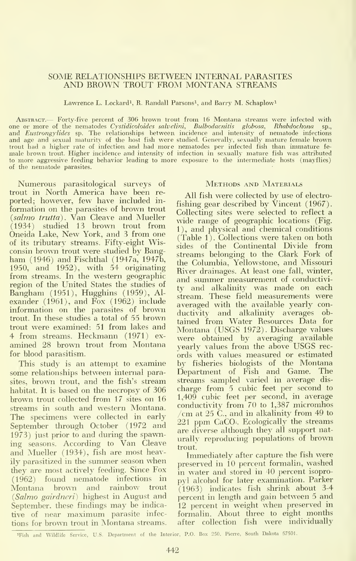#### SOME RELATIONSHIPS BETWEEN INTERNAL PARASITES AND BROWN TROUT FROM MONTANA STREAMS

Lawrence L. Lockard<sup>1</sup>, R. Randall Parsons<sup>1</sup>, and Barry M. Schaplow<sup>1</sup>

ABSTRACT.— Forty-five percent of 306 brown trout from 16 Montana streams were infected with one or more of the nematodes Cystidicoloides salvelini, Bulbodacnitis globosa, Rhabdochona and Eustrongylides sp. The relationships between incidence and intensity of nematode infections and age and sexual maturity of the host fish were studied. Generally, sexually mature female brown trout had a higher rate of infection and had more nematodes per infected fish than immature fe-<br>male brown trout. Higher incidence and intensity of infection in sexually mature fish was attributed to more aggressive feeding behavior leading to more exposure to the intermediate hosts (mayflies) of the nematode parasites.

Numerous parasitological surveys of trout in North America have been re ported; however, few have included in formation on the parasites of brown trout (salmo trutta). Van Cleave and Mueller (1934) studied 13 brown trout from Oneida Lake, New York, and <sup>3</sup> from one of its tributary streams. Fifty-eight Wisconsin brown trout were studied by Bangham (1946) and Fischthal (1947a, 1947b, 1950, and 1952), with 54 originating from streams. In the western geographic region of the United States the studies of Bangham (1951), Hugghins (1959), Al exander (1961), and Fox (1962) include information on the parasites of brown trout. In these studies a total of 55 brown trout were examined: 51 from lakes and 4 from streams. Heckmann (1971) ex amined 28 brown trout from Montana for blood parasitism.

This study is an attempt to examine some relationships between internal parasites, brown trout, and the fish's stream habitat. It is based on the necropsy of 306 brown trout collected from 17 sites on 16 streams in south and western Montana. The specimens were collected in early September through October (1972 and 1973) just prior to and during the spawning seasons. According to Van Cleave and Mueller (1934), fish are most heavily parasitized in the summer season when they are most actively feeding. Since Fox (1962) found nematode infections in Montana brown and rainbow^ trout (Salmo gairdneri) highest in August and September, these findings may be indicative of near maximum parasite infections for brown trout in Montana streams.

#### Methods and Materials

All fish were collected by use of electro fishing gear described by Vincent (1967). Collecting sites were selected to reflect a wide range of geographic locations (Fig. 1), and physical and chemical conditions (Table 1). Collections were taken on both sides of the Continental Divide from streams belonging to the Clark Fork of the Columbia, Yellowstone, and Missouri River drainages. At least one fall, winter, and summer measurement of conductivi ty and alkalinity was made on each stream. These field measurements were averaged with the available yearly conductivity and alkalinity averages ob tained from Water Resources Data for Montana (USGS 1972). Discharge values were obtained by averaging available yearly values from the above USGS rec ords with values measured or estimated by fisheries biologists of the Montana Department of Fish and Game. The streams sampled varied in average dis charge from 5 cubic feet per second to 1,409 cubic feet per second, in average conductivity from 70 to 1,387 micromhos /cm at 25 C., and in alkalinity from 49 to 221 ppm CaCO'. Ecologically the streams are diverse although they all support nat urally reproducing populations of brown trout.

Immediately after capture the fish were preserved in 10 percent formalin, washed in water and stored in 40 percent isopro pyl alcohol for later examination. Parker (1963) indicates fish shrink about 3-4 percent in length and gain between <sup>5</sup> and 12 percent in weight when preserved in formalin. About three to eight months after collection fish were individually

<sup>&</sup>lt;sup>1</sup>Fish and Wildlife Service, U.S. Department of the Interior, P.O. Box 250, Pierre, South Dakota 57501.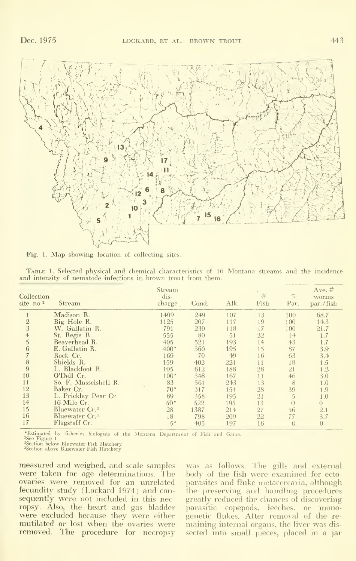

Fig. 1. Map showing location of collecting sites.

| Collection<br>site no.1 | Stream                     | Stream<br>dis-<br>charge | Cond. | Alk. | #<br>Fish | $C'_{O}$<br>Par. | Ave. $#$<br>worms<br>par./fish |
|-------------------------|----------------------------|--------------------------|-------|------|-----------|------------------|--------------------------------|
|                         | Madison R.                 | 1409                     | 249   | 107  | 13        | 100              | 68.7                           |
| $\overline{2}$          | Big Hole R.                | 1125                     | 207   | 117  | 19        | 100              | 14.3                           |
| $\overline{3}$          | W. Gallatin R.             | 791                      | 230   | 118  | 17        | 100              | 21.7                           |
| $\ddot{\phi}$           | St. Regis R.               | 555                      | 80    | 51   | 22        | 14               | 1.7                            |
| $\overline{5}$          | Beaverhead R.              | 405                      | 521   | 193  | 14        | 43               | 1.7                            |
| 6                       | E. Gallatin R.             | $400*$                   | 360   | 195  | 15        | 87               | 3.9                            |
|                         | Rock Cr.                   | 169                      | 70    | 49   | 16        | 63               | 3.4                            |
| 8                       | Shields R.                 | 159                      | 402   | 221  | 11        | 18               | 1.5                            |
| 9                       | L. Blackfoot R.            | 105                      | 612   | 188  | 28        | 21               | 1.2                            |
| 10                      | O'Dell Cr.                 | $100*$                   | 348   | 167  | 11        | $46 \,$          | 3.0                            |
| 11                      | So. F. Musselshell R.      | 83                       | 561   | 243  | 13        | 8                | 1.0                            |
| 12                      | Baker Cr.                  | $70*$                    | 317   | 154  | 28        | 39               | 1.9                            |
| 13                      | L. Prickley Pear Cr.       | 69                       | 358   | 195  | 21        | $\mathcal{L}$    | 1.0                            |
| 14                      | 16 Mile Cr.                | $50*$                    | 522   | 195  | 13        | $\Omega$         | $\overline{0}$                 |
| 15                      | Bluewater Cr. <sup>2</sup> | 28                       | 1387  | 214  | 27        | 56               | 2.1                            |
| 16                      | Bluewater Cr. <sup>3</sup> | 18                       | 798   | 209  | 22        | 77               | 3.7                            |
| 17                      | Flagstaff Cr.              | $5*$                     | 405   | 197  | 16        | $\Omega$         | $\theta$                       |

Table 1. Selected physical and chemical characteristics of 16 Montana streams and the incidence and intensity of nematode infections in brown trout from them.

\*Estimated by fisheries biologists of the Montana Department of Fish and Game.

<sup>1</sup>See Figure 1

See Figure 1<br>
<sup>2</sup>Section below Bluewater Fish Hatchery<br>
<sup>3</sup>Section above Bluewater Fish Hatchery

measured and weighed, and scale samples were taken for age determinations. The ovaries were removed for an unrelated fecundity study (Lockard 1974) and consequently were not included in this necropsy. Also, the heart and gas bladder were excluded because they were either mutilated or lost when the ovaries were removed. The procedure for necropsy

was as follows. The gills and external body of the fish were examined for ectoparasites and fluke metacercaria, although the preserving and handling procedures greatly reduced the chances of discovering parasitic copepods, leeches, or monogenetic flukes. After removal of the remaining internal organs, the liver was dissected into small pieces, placed in a jar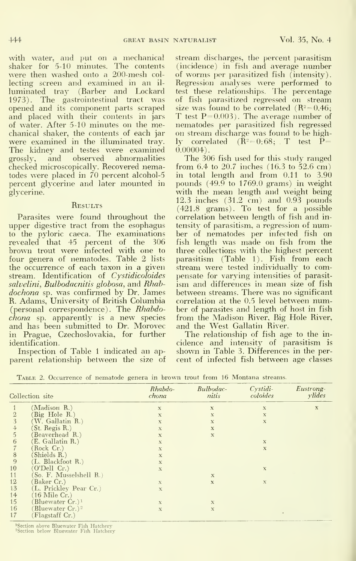with water, and put on a mechanical shaker for 5-10 minutes. The contents were then washed onto a 200-mesh col lecting screen and examined in an il luminated tray (Barber and Lockard 1973). The gastrointestinal tract was opened and its component parts scraped and placed with their contents in jars of water. After 5-10 minutes on the mechanical shaker, the contents of each jar were examined in the illuminated tray. The kidney and testes were examined<br>grossly, and observed abnormalities observed abnormalities checked microscopically. Recovered nematodes were placed in 70 percent alcohol-5 percent glycerine and later mounted in glycerine.

#### **RESULTS**

Parasites were found throughout the upper digestive tract from the esophagus to the pyloric caeca. The examinations revealed that 45 percent of the 306 fish<br>brown trout were infected with one to thre<br>four genera of nematodes. Table 2 lists par: the occurrence of each taxon in a given stream. Identification of Cystidicoloides salvelini, Bulbodacnitis globosa, and Rhabdochona sp. was confirmed by Dr. James R. Adams, University of British Columbia (personal correspondence). The Rhabdochona sp. apparently is <sup>a</sup> new species and has been submitted to Dr. Morovec in Prague, Czechoslovakia, for further identification.

Inspection of Table <sup>1</sup> indicated an ap parent relationship between the size of stream discharges, the percent parasitism (incidence) in fish and average number of worms per parasitized fish (intensity). Regression analyses were performed to test these relationships. The percentage of fish parasitized regressed on stream<br>size was found to be correlated  $(R^2=0.46)$ ; T test  $P= 0.003$ ). The average number of nematodes per parasitized fish regressed on stream discharge was found to be highly correlated  $(\tilde{R}^2=0.68; T$  test  $\tilde{P}=$  $0.00004$ ).

The 306 fish used for this study ranged from 6.4 to 20.7 inches (16.3 to 52.6 cm) in total length and from 0.11 to 3.90 pounds  $(49.9$  to  $1769.0$  grams) in weight with the mean length and weight being 12.3 inches (31.2 cm) and 0.93 pounds (421.8 grams). To test for a possible correlation between length of fish and in tensity of parasitism, a regression of number of nematodes per infected fish on fish length was made on fish from the three collections with the highest percent parasitism (Table 1). Fish from each stream were tested individually to compensate for varying intensities of parasit ism and differences in mean size of fish between streams. There was no significant correlation at the 0.5 level between number of parasites and length of host in fish from the Madison River, Big Hole River, and the West Gallatin River.

The relationship of fish age to the in cidence and intensity of parasitism is shown in Table 3. Differences in the per- cent of infected fish between age classes

|                | Collection site                               | Rhabdo-<br>chona | Bulbodac-<br>nitis | $Cvstidi-$<br>coloides | Eustrong-<br>$y$ <i>lides</i> |
|----------------|-----------------------------------------------|------------------|--------------------|------------------------|-------------------------------|
|                | (Madison R.)                                  | $\mathbf x$      | $\mathbf x$        | $\bf x$                | $\mathbf x$                   |
|                | Big Hole R.)                                  | $\mathbf x$      | $\bf{x}$           | $\bf x$                |                               |
| 3              | (W. Gallatin R.)                              | $\bf x$          | $\bf x$            | $\mathbf x$            |                               |
| 4              | St. Regis R.)                                 | $\mathbf x$      | $\mathbf x$        |                        |                               |
| $\overline{5}$ | (Beaverhead R.)                               | $\mathbf X$      | $\mathbf x$        |                        |                               |
| 6              | (E. Gallatin R.)                              | $\bf{X}$         |                    | $\bf x$                |                               |
|                | (Rock Cr.)                                    | $\mathbf x$      |                    | $\mathbf x$            |                               |
| 8              | (Shields R.)                                  | $\mathbf x$      |                    |                        |                               |
| 9              | (L. Blackfoot R.)                             | $\mathbf x$      |                    |                        |                               |
| 10             | (O'Dell Cr.)                                  | $\bf{x}$         |                    | $\mathbf{x}$           |                               |
| 11             | So. F. Musselshell R.)                        |                  | $\mathbf x$        |                        |                               |
| 12             | Baker Cr.)                                    | $\bf{X}$         | $\mathbf x$        | $\mathbf x$            |                               |
| 13             | (L. Prickley Pear Cr.)                        | $\mathbf x$      |                    |                        |                               |
| 14             | $(16 \text{ Mile Cr.})$                       |                  |                    |                        |                               |
| 15             | (Bluewater Cr.) <sup>1</sup>                  | $\mathbf{X}$     | $\mathbf X$        |                        |                               |
| 16<br>17       | Bluewater Cr.) <sup>2</sup><br>Flagstaff Cr.) | $\bf{X}$         | $\mathbf x$        |                        |                               |

Table 2. Occurrence of nematode genera in brown trout from 16 Montana streams.

<sup>1</sup>Section above Bluewater Fish Hatchery

<sup>2</sup>Section below Bluewater Fish Hatchery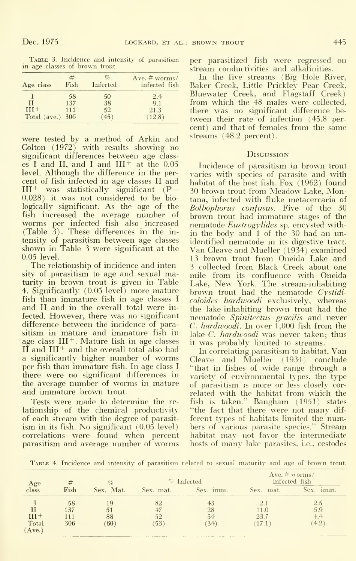TABLE 3. Incidence and intensity of parasitism in age classes of brown trout.

| Age class    | Fish | $\sigma_{0}$<br>Infected | Ave. $# \overline{worms}/$<br>infected fish |
|--------------|------|--------------------------|---------------------------------------------|
|              | 58   | 50                       | 2.4                                         |
| Н            | 137  | 38                       | 9.1                                         |
| $III+$       | 111  | 52                       | 21.3                                        |
| Total (ave.) | 306  | (45)                     | (12.8)                                      |

were tested by a method of Arkin and Colton (1972) with results showing no significant differences between age class es I and II, and I and  $III^+$  at the  $0.05$ level. Although the difference in the per cent of fish infected in age classes II and  $III^+$  was statistically significant (P= 0.028) it was not considered to be bio logically significant. As the age of the fish increased the average number of worms per infected fish also increased (Table 3). These differences in the in tensity of parasitism between age classes shown in Table <sup>3</sup> were significant at the 0.05 level.

The relationship of incidence and intensity of parasitism to age and sexual maturity in brown trout is given in Table 4. Significantly (0.05 level) more mature fish than immature fish in age classes <sup>I</sup> and II and in the overall total were in fected. However, there was no significant difference between the incidence of parasitism in mature and immature fish in age class  $III<sup>+</sup>$ . Mature fish in age classes II and III<sup>+</sup> and the overall total also had a significantly higher number of worms per fish than immature fish. In age class <sup>I</sup> there were no significant differences in the average number of worms in mature and immature brown trout.

Tests were made to determine the re lationship of the chemical productivity of each stream with the degree of parasit ism in its fish. No significant (0.05 level) correlations were found when percent parasitism and average number of worms

per parasitized fish were regressed on stream conductivities and alkalinities.

In the five streams (Big Hole River, Baker Creek, Little Prickley Pear Creek, Bluewater Creek, and Flagstaff Creek) from which the 48 males were collected, there was no significant difference be tween their rate of infection (45.8 per cent) and that of females from the same streams (48.2 percent).

#### **Discussion**

Incidence of parasitism in brown trout varies with species of parasite and with habitat of the host fish. Fox (1962) found 30 brown trout from Meadow Lake, Montana, infected with fluke metacercaria of Bolbophorus confusus. Five of the 30 brown trout had immature stages of the nematode Eustrogylides sp. encysted within the body and <sup>1</sup> of the 30 had an unidentified nematode in its digestive tract. Van Cleave and Mueller (1934) examined 13 brown trout from Oneida Lake and 3 collected from Black Creek about one mile from its confluence with Oneida Lake, New York. The stream-inhabiting brown trout had the nematode Cystidicoloides hardwoodi exclusively, whereas the lake-inhabiting brown trout had the nematode Spinitectus gracilis and never *C. hardwoodi.* In over  $1,000$  fish from the lake *C. hardwoodi* was never taken; thus it was probably limited to streams.

In correlating parasitism to habitat, Van Cleave and Mueller (1934) conclude "that in fishes of wide range through a variety of environmental types, the type of parasitism is more or less closely cor related with the habitat from which the fish is taken." Bangham (1951) states "the fact that there were not many dif ferent types of habitats limited the numbers of various parasite species." Stream habitat may not favor the intermediate hosts of many lake parasites, i.e., cestodes

TABLE 4. Incidence and intensity of parasitism related to sexual maturity and age of brown trout.

| Age                      |            | $\%$      | % Infected |           | Ave. $# \overline{worms}/$<br>infected fish |               |  |
|--------------------------|------------|-----------|------------|-----------|---------------------------------------------|---------------|--|
| class                    | Fish       | Sex. Mat. | Sex. mat.  | Sex. imm. | mat.<br>Sex.                                | Sex.<br>imm.  |  |
|                          | 58<br>137  | IJ        | 82         | 43<br>28  | L.O                                         | 2.5<br>5.9    |  |
| $(II +$<br>Total<br>Ave. | 111<br>306 | 88<br>60) | 52<br>53   | 54<br>34  | 23.7<br>17.1                                | $+4.4$<br>4.2 |  |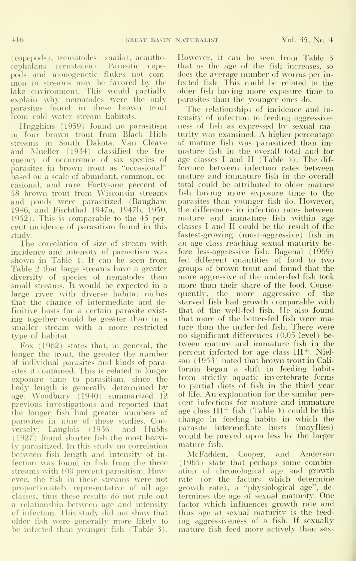(copepods), trematodes (snails), acantho cephalans ( Crustacea). Parasitic cope pods and monogenetic flukes not com mon in streams may be favored by the lake environment. This would partially explain why nematodes were the only parasites found in these brown trout from cold water stream habitats.

Hugghins (1959) found no parasitism in four brown trout from Black Hills streams in South Dakota. Van Cleave and Mueller (1934) classified the fre quency of occurrence of six species of parasites in brown trout as "occasional" based on <sup>a</sup> scale of abundant, common, oc casional, and rare. Forty-one percent of 58 brown trout from Wisconsin streams and ponds were parasitized (Bangham 1946, and Fischthal 1947a, 1947b, 1950, 1952). This is comparable to the 45 per cent incidence of parasitism found in this study.

The correlation of size of stream with incidence and intensity of parasitism was shown in Table 1. It can be seen from Table 2 that large streams have a greater diversity of species of nematodes than small streams. It would be expected in a large river with diverse habitat niches that the chance of intermediate and definitive hosts for a certain parasite exist ing together would be greater than in a smaller stream with a more restricted type of habitat.

Fox (1962) states that, in general, the longer the trout, the greater the number of individual parasites and kinds of parasites it contained. This is related to longer exposure time to parasitism, since the body length is generally determined by age. Woodbury (1940) summarized 12 previous investigations and reported that the longer fish had greater numbers of parasites in nine of these studies. Conversely, Langlois (1936) and Hubbs (1927) found shorter fish the most heavily parasitized. In this study no correlation – mature fish.<br>between fish length and intensity of in- – McFadden, between fish length and intensity of infection was found in fish from the three streams with 100 percent parasitism. However, the fish in these streams were not proportionately representative of all age classes; thus these results do not rule out a relationship between age and intensity of infection. This study did not show^ that older fish were generally more likely to be infected than younger fish (Table 3).

However, it can be seen from Table 3 that as the age of the fish increases, so does the average number of worms per in fected fish. This could be related to the older fish having more exposure time to })arasites than the younger ones do.

The relationships of incidence and in tensity of infection to feeding aggressive ness of fish as expressed by sexual maturity was examined. A higher percentage of mature fish was parasitized than im mature fish in the overall total and for age classes <sup>I</sup> and II (Table 4). The dif ference between infection rates between mature and immature fish in the overall total could be attributed to older mature fish having more exposure time to the parasites than younger fish do. However, the differences in infection rates between mature and immature fish within age classes <sup>I</sup> and II could be the result of the fastest-growing (most-aggressive) fish in an age class reaching sexual maturity be fore less-aggressive fish. Bagenal (1969) fed different quantities of food to two groups of brown trout and found that the more aggressive of the under-fed fish took more than their share of the food. Consequently, the more aggressive of the starved fish had growth comparable with that of the well-fed fish. He also found that more of the better-fed fish were mature than the under-fed fish. There were no significant differences (0.05 level) be tween mature and immature fish in the percent infected for age class  $III^+$ . Nielson (1953) noted that brown trout in Cali fornia began a shift in feeding habits from strictly aquatic invertebrate forms to partial diets of fish in the third year of life. An explanation for the similar per cent infections for mature and immature age class  $III^+$  fish (Table 4) could be this change in feeding habits in which the parasite intermediate hosts (mayflies) would be preyed upon less by the larger mature fish.

Cooper, and Anderson (1965) state that perhaps some combination of chronological age and growth rate (or the factors which determine growth rate), a "physiological age", de termines the age of sexual maturity. One factor which influences growth rate and thus age at sexual maturity is the feed ing aggressiveness of a fish. If sexually mature fish feed more actively than sex-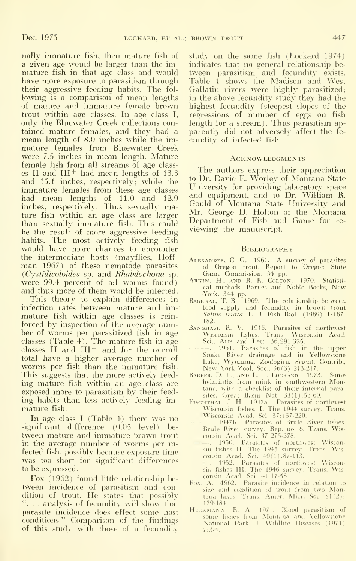ually immature fish, then mature fish of a given age would be larger than the im mature fish in that age class and would have more exposure to parasitism through their aggressive feeding habits. The fol lowing is <sup>a</sup> comparison of mean lengths of mature and inmiature female brown trout within age classes. In age class I, only the Bluewater Creek collections con tained mature females, and they had a mean length of 8.0 inches while the im mature females from Bluewater Creek were 7.5 inches in mean length. Mature female fish from all streams of age class es II and  $III^+$  had mean lengths of 13.3 and 15.1 inches, respectively; while the immature females from these age classes had mean lengths of 11.0 and 12.9 inches, respectively. Thus sexually mature fish within an age class are larger than sexually immature fish. This could be the result of more aggressive feeding habits. The most actively feeding fish would have more chances to encounter the intermediate hosts (mayflies, Hoff man 1967) of these nematode parasites {Cystidicoloides sp. and Rhabdochona sp. were 99.4 percent of all worms found) and thus more of them would be infected.

This theory to explain differences in infection rates between mature and im mature fish within age classes is rein forced by inspection of the average number of worms per parasitized fish in age classes (Table 4). The mature fish in age classes  $II$  and  $III^+$  and for the overall total have a higher average number of worms per fish than the immature fish. This suggests that the more actively feed ing mature fish within an age class are exposed more to parasitism by their feed ing habits than less actively feeding im mature fish.

In age class <sup>I</sup> (Table 4) there was no significant difference (0.05 level) be tween mature and immature brown trout in the average number of worms per infected fish, possibly because exposure time was too short for significant differences to be expressed

Fox (1962) found little relationship be tween incidence of parasitism and condition of trout. He states that possibly ". . . analysis of fecundity will show that parasite incidence does effect some host conditions." Comparison of the findings of this study with those of a fecundity

study on the same fish (Lockard 1974) indicates that no general relationship be tween parasitism and fecundity exists. Table <sup>1</sup> shows the Madison and West Gallatin rivers were highly parasitized; in the above fecundity study they had the highest fecundity (steepest slopes of the regressions of number of eggs on fish length for a stream). Thus parasitism apparently did not adversely affect the fe cundity of infected fish.

#### **ACKNOWLEDGMENTS**

The authors express their appreciation to Dr. David E. Worley of Montana State University for providing laboratory space and equipment, and to Dr. William R. Gould of Montana State University and Mr. George D. Holton of the Montana Department of Fish and Game for re viewing the manuscript.

#### **BIBLIOGRAPHY**

- Alexander, C. G. 1961. A survey of parasites
- of Oregon trout. Report to Oregon State<br>Game Commission. 34 pp.<br>Arkin, H., ..., R. R. Colton. 1970. Statisti-<br>cal methods. Barnes and Noble Books, New
- York. 344 pp. Bagen.\l, T. B. i1969. The relationship between food supply and fecundity in brown trout Salmo trutta. L. J. Fish Biol. (1969) 1:167-
- 
- 182.<br>BANGHAM, R. V. 1946. Parasites of northwest<br>Wisconsin fishes. Trans. Wisconsin Acad.<br>Sci., Arts and Lett. 36:291-325.<br>------. 1951. Parasites of fish in the upper<br>Snake River drainage and in Yellowstone<br>Lake, Wyoming.
- tana, with a checklist of their internal para-
- sites. Great Basin Nat. 33(1):53-60.<br>FischTHAL. J. H. 1947a. Parasites of northwest Wisconsin fishes. L The 1944 survey. Trans. Wisconsin Acad. Sci. 37:157-220.
- . 1947b. Parasites of Brule River fishes. Brule River survey: Rep. no. 6. Tians. Wis-consin Acad. Sci. 37:275-278.
	- . 1950. Parasites of northwest Wisconsin fishes IL The 1945 survey. Trans. Wis-consin Acad. Sci. 49(1) :87-l 13.
- 1952. Parasites of northwest Wisconsin fishes III. The 1946 survey. Trans. Wisconsin Acad. Sci. 41:17-58.
- Fox. A. 4962. Parasite incidence in relation to size and condition of trout from two Montana lakes. Trans. Amer. Micr. Soc. 81(2): 179-184.
- HECKMANN, R. A. 1971. Blood parasitism of<br>some fishes from Montana and Yellowstone<br>National Park. J. Wildlife Diseases (1971) 7:3-4.